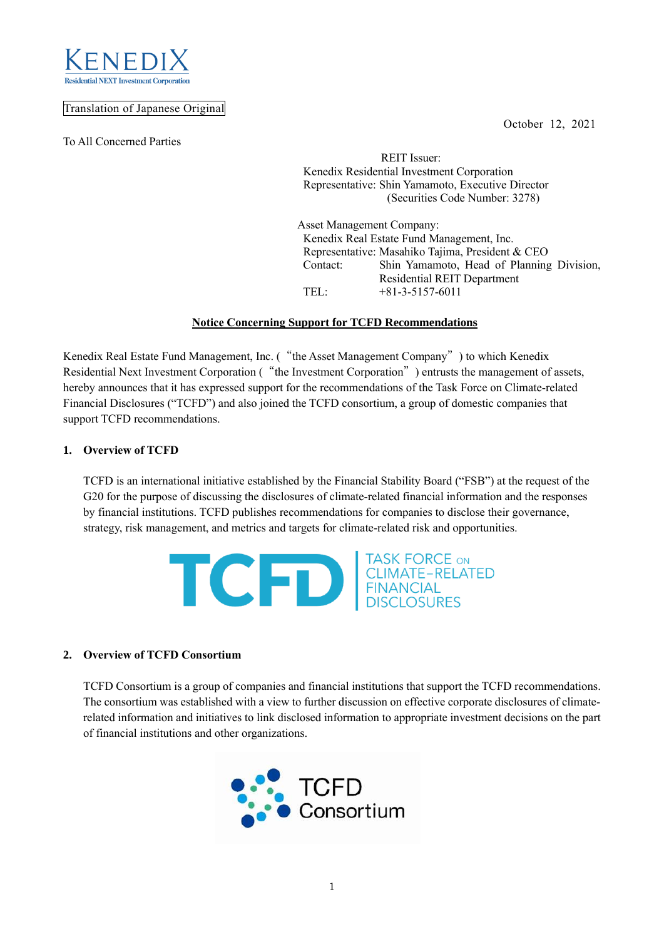



## Translation of Japanese Original

To All Concerned Parties

 REIT Issuer: Kenedix Residential Investment Corporation Representative: Shin Yamamoto, Executive Director (Securities Code Number: 3278)

Asset Management Company: Kenedix Real Estate Fund Management, Inc. Representative: Masahiko Tajima, President & CEO Contact: Shin Yamamoto, Head of Planning Division, Residential REIT Department TEL: +81-3-5157-6011

# **Notice Concerning Support for TCFD Recommendations**

Kenedix Real Estate Fund Management, Inc. ("the Asset Management Company") to which Kenedix Residential Next Investment Corporation ("the Investment Corporation") entrusts the management of assets, hereby announces that it has expressed support for the recommendations of the Task Force on Climate-related Financial Disclosures ("TCFD") and also joined the TCFD consortium, a group of domestic companies that support TCFD recommendations.

## **1. Overview of TCFD**

TCFD is an international initiative established by the Financial Stability Board ("FSB") at the request of the G20 for the purpose of discussing the disclosures of climate-related financial information and the responses by financial institutions. TCFD publishes recommendations for companies to disclose their governance, strategy, risk management, and metrics and targets for climate-related risk and opportunities.



## **2. Overview of TCFD Consortium**

TCFD Consortium is a group of companies and financial institutions that support the TCFD recommendations. The consortium was established with a view to further discussion on effective corporate disclosures of climaterelated information and initiatives to link disclosed information to appropriate investment decisions on the part of financial institutions and other organizations.